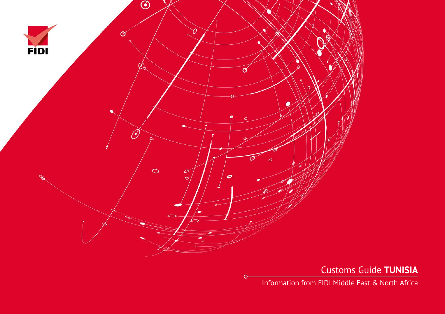

Customs Guide **TUNISIA**

Information from FIDI Middle East & North Africa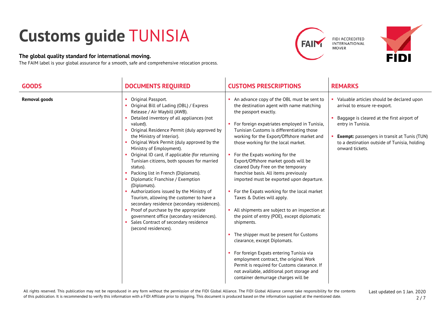## **Customs guide** TUNISIA

## **The global quality standard for international moving.**

The FAIM label is your global assurance for a smooth, safe and comprehensive relocation process.





| <b>GOODS</b>         | <b>DOCUMENTS REQUIRED</b>                                                                                                                                                                                                                                                                                                                                                                                                                                                                                                                                                                                                                                                                                                                                                                                          | <b>CUSTOMS PRESCRIPTIONS</b>                                                                                                                                                                                                                                                                                                                                                                                                                                                                                                                                                                                                                                                                                                                                                                                                                                                                                                                                                                                  | <b>REMARKS</b>                                                                                                                                                                                                                                                         |
|----------------------|--------------------------------------------------------------------------------------------------------------------------------------------------------------------------------------------------------------------------------------------------------------------------------------------------------------------------------------------------------------------------------------------------------------------------------------------------------------------------------------------------------------------------------------------------------------------------------------------------------------------------------------------------------------------------------------------------------------------------------------------------------------------------------------------------------------------|---------------------------------------------------------------------------------------------------------------------------------------------------------------------------------------------------------------------------------------------------------------------------------------------------------------------------------------------------------------------------------------------------------------------------------------------------------------------------------------------------------------------------------------------------------------------------------------------------------------------------------------------------------------------------------------------------------------------------------------------------------------------------------------------------------------------------------------------------------------------------------------------------------------------------------------------------------------------------------------------------------------|------------------------------------------------------------------------------------------------------------------------------------------------------------------------------------------------------------------------------------------------------------------------|
| <b>Removal goods</b> | Original Passport.<br>Original Bill of Lading (OBL) / Express<br>Release / Air Waybill (AWB).<br>Detailed inventory of all appliances (not<br>valued).<br>Original Residence Permit (duly approved by<br>the Ministry of Interior).<br>Original Work Permit (duly approved by the<br>Ministry of Employment).<br>Original ID card, if applicable (for returning<br>Tunisian citizens, both spouses for married<br>status).<br>Packing list in French (Diplomats).<br>Diplomatic Franchise / Exemption<br>(Diplomats).<br>Authorizations issued by the Ministry of<br>Tourism, allowing the customer to have a<br>secondary residence (secondary residences).<br>Proof of purchase by the appropriate<br>government office (secondary residences).<br>Sales Contract of secondary residence<br>(second residences). | An advance copy of the OBL must be sent to<br>the destination agent with name matching<br>the passport exactly.<br>For foreign expatriates employed in Tunisia,<br>Tunisian Customs is differentiating those<br>working for the Export/Offshore market and<br>those working for the local market.<br>• For the Expats working for the<br>Export/Offshore market goods will be<br>cleared Duty Free on the temporary<br>franchise basis. All items previously<br>imported must be exported upon departure.<br>• For the Expats working for the local market<br>Taxes & Duties will apply.<br>• All shipments are subject to an inspection at<br>the point of entry (POE), except diplomatic<br>shipments.<br>The shipper must be present for Customs<br>clearance, except Diplomats.<br>For foreign Expats entering Tunisia via<br>employment contract, the original Work<br>Permit is required for Customs clearance. If<br>not available, additional port storage and<br>container demurrage charges will be | Valuable articles should be declared upon<br>arrival to ensure re-export.<br>Baggage is cleared at the first airport of<br>entry in Tunisia.<br><b>Exempt:</b> passengers in transit at Tunis (TUN)<br>to a destination outside of Tunisia, holding<br>onward tickets. |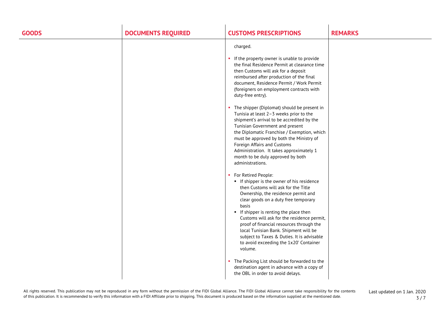| <b>GOODS</b> | <b>DOCUMENTS REQUIRED</b> | <b>CUSTOMS PRESCRIPTIONS</b>                                                                                                                                                                                                                                                                                                                                                                                                                                                                                                                                                                                                                                                                                       | <b>REMARKS</b> |
|--------------|---------------------------|--------------------------------------------------------------------------------------------------------------------------------------------------------------------------------------------------------------------------------------------------------------------------------------------------------------------------------------------------------------------------------------------------------------------------------------------------------------------------------------------------------------------------------------------------------------------------------------------------------------------------------------------------------------------------------------------------------------------|----------------|
|              |                           | charged.<br>• If the property owner is unable to provide<br>the final Residence Permit at clearance time<br>then Customs will ask for a deposit<br>reimbursed after production of the final<br>document, Residence Permit / Work Permit<br>(foreigners on employment contracts with<br>duty-free entry).<br>The shipper (Diplomat) should be present in<br>Tunisia at least 2-3 weeks prior to the<br>shipment's arrival to be accredited by the<br>Tunisian Government and present<br>the Diplomatic Franchise / Exemption, which<br>must be approved by both the Ministry of<br>Foreign Affairs and Customs<br>Administration. It takes approximately 1<br>month to be duly approved by both<br>administrations. |                |
|              |                           | • For Retired People:<br>If shipper is the owner of his residence<br>then Customs will ask for the Title<br>Ownership, the residence permit and<br>clear goods on a duty free temporary<br>basis<br>• If shipper is renting the place then<br>Customs will ask for the residence permit,<br>proof of financial resources through the<br>local Tunisian Bank. Shipment will be<br>subject to Taxes & Duties. It is advisable<br>to avoid exceeding the 1x20' Container<br>volume.<br>The Packing List should be forwarded to the<br>destination agent in advance with a copy of<br>the OBL in order to avoid delays.                                                                                                |                |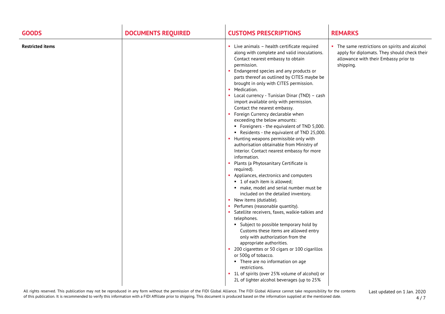| <b>GOODS</b>            | <b>DOCUMENTS REQUIRED</b> | <b>CUSTOMS PRESCRIPTIONS</b>                                                                                                                                                                                                                                                                                                                                                                                                                                                                                                                                                                                                                                                                                                                                                                                                                                                                                                                                                                                                                                                                                                                                                                                                                                                                                                                                                                                                                                                         | <b>REMARKS</b>                                                                                                                                       |
|-------------------------|---------------------------|--------------------------------------------------------------------------------------------------------------------------------------------------------------------------------------------------------------------------------------------------------------------------------------------------------------------------------------------------------------------------------------------------------------------------------------------------------------------------------------------------------------------------------------------------------------------------------------------------------------------------------------------------------------------------------------------------------------------------------------------------------------------------------------------------------------------------------------------------------------------------------------------------------------------------------------------------------------------------------------------------------------------------------------------------------------------------------------------------------------------------------------------------------------------------------------------------------------------------------------------------------------------------------------------------------------------------------------------------------------------------------------------------------------------------------------------------------------------------------------|------------------------------------------------------------------------------------------------------------------------------------------------------|
| <b>Restricted items</b> |                           | • Live animals - health certificate required<br>along with complete and valid inoculations.<br>Contact nearest embassy to obtain<br>permission.<br>Endangered species and any products or<br>parts thereof as outlined by CITES maybe be<br>brought in only with CITES permission.<br>• Medication.<br>Local currency - Tunisian Dinar (TND) - cash<br>import available only with permission.<br>Contact the nearest embassy.<br>Foreign Currency declarable when<br>exceeding the below amounts:<br>• Foreigners - the equivalent of TND 5,000.<br>Residents - the equivalent of TND 25,000.<br>Hunting weapons permissible only with<br>authorisation obtainable from Ministry of<br>Interior. Contact nearest embassy for more<br>information.<br>Plants (a Phytosanitary Certificate is<br>required).<br>Appliances, electronics and computers<br>■ 1 of each item is allowed;<br>make, model and serial number must be<br>included on the detailed inventory.<br>• New items (dutiable).<br>Perfumes (reasonable quantity).<br>Satellite receivers, faxes, walkie-talkies and<br>telephones.<br>• Subject to possible temporary hold by<br>Customs these items are allowed entry<br>only with authorization from the<br>appropriate authorities.<br>200 cigarettes or 50 cigars or 100 cigarillos<br>or 500g of tobacco.<br>• There are no information on age<br>restrictions.<br>• 1L of spirits (over 25% volume of alcohol) or<br>2L of lighter alcohol beverages (up to 25% | • The same restrictions on spirits and alcohol<br>apply for diplomats. They should check their<br>allowance with their Embassy prior to<br>shipping. |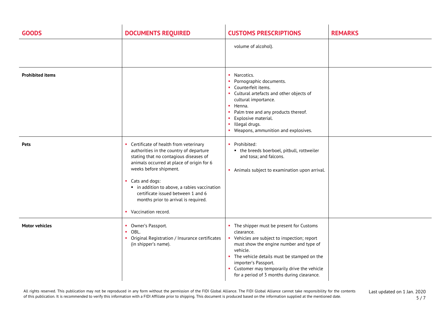| <b>GOODS</b>            | <b>DOCUMENTS REQUIRED</b>                                                                                                                                                                                                                                                                                                                                                      | <b>CUSTOMS PRESCRIPTIONS</b>                                                                                                                                                                                                                                                                                                       | <b>REMARKS</b> |
|-------------------------|--------------------------------------------------------------------------------------------------------------------------------------------------------------------------------------------------------------------------------------------------------------------------------------------------------------------------------------------------------------------------------|------------------------------------------------------------------------------------------------------------------------------------------------------------------------------------------------------------------------------------------------------------------------------------------------------------------------------------|----------------|
|                         |                                                                                                                                                                                                                                                                                                                                                                                | volume of alcohol).                                                                                                                                                                                                                                                                                                                |                |
| <b>Prohibited items</b> |                                                                                                                                                                                                                                                                                                                                                                                | • Narcotics.<br>• Pornographic documents.<br>• Counterfeit items.<br>• Cultural artefacts and other objects of<br>cultural importance.<br>$Henna$ .<br>• Palm tree and any products thereof.<br><b>Explosive material.</b><br>Illegal drugs.<br>• Weapons, ammunition and explosives.                                              |                |
| <b>Pets</b>             | • Certificate of health from veterinary<br>authorities in the country of departure<br>stating that no contagious diseases of<br>animals occurred at place of origin for 6<br>weeks before shipment.<br>• Cats and dogs:<br>• in addition to above, a rabies vaccination<br>certificate issued between 1 and 6<br>months prior to arrival is required.<br>• Vaccination record. | • Prohibited:<br>• the breeds boerboel, pitbull, rottweiler<br>and tosa; and falcons.<br>Animals subject to examination upon arrival.                                                                                                                                                                                              |                |
| <b>Motor vehicles</b>   | Owner's Passport.<br>m.<br>$-$ OBL.<br>• Original Registration / Insurance certificates<br>(in shipper's name).                                                                                                                                                                                                                                                                | • The shipper must be present for Customs<br>clearance.<br>Vehicles are subject to inspection; report<br>must show the engine number and type of<br>vehicle.<br>• The vehicle details must be stamped on the<br>importer's Passport.<br>• Customer may temporarily drive the vehicle<br>for a period of 3 months during clearance. |                |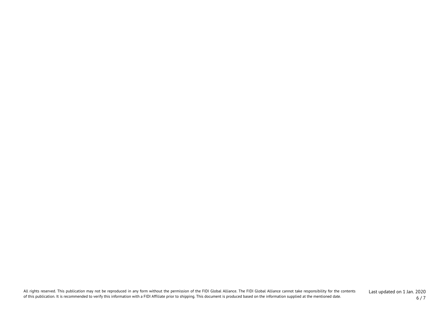All rights reserved. This publication may not be reproduced in any form without the permission of the FIDI Global Alliance. The FIDI Global Alliance cannot take responsibility for the contents of this publication. It is recommended to verify this information with a FIDI Affiliate prior to shipping. This document is produced based on the information supplied at the mentioned date.